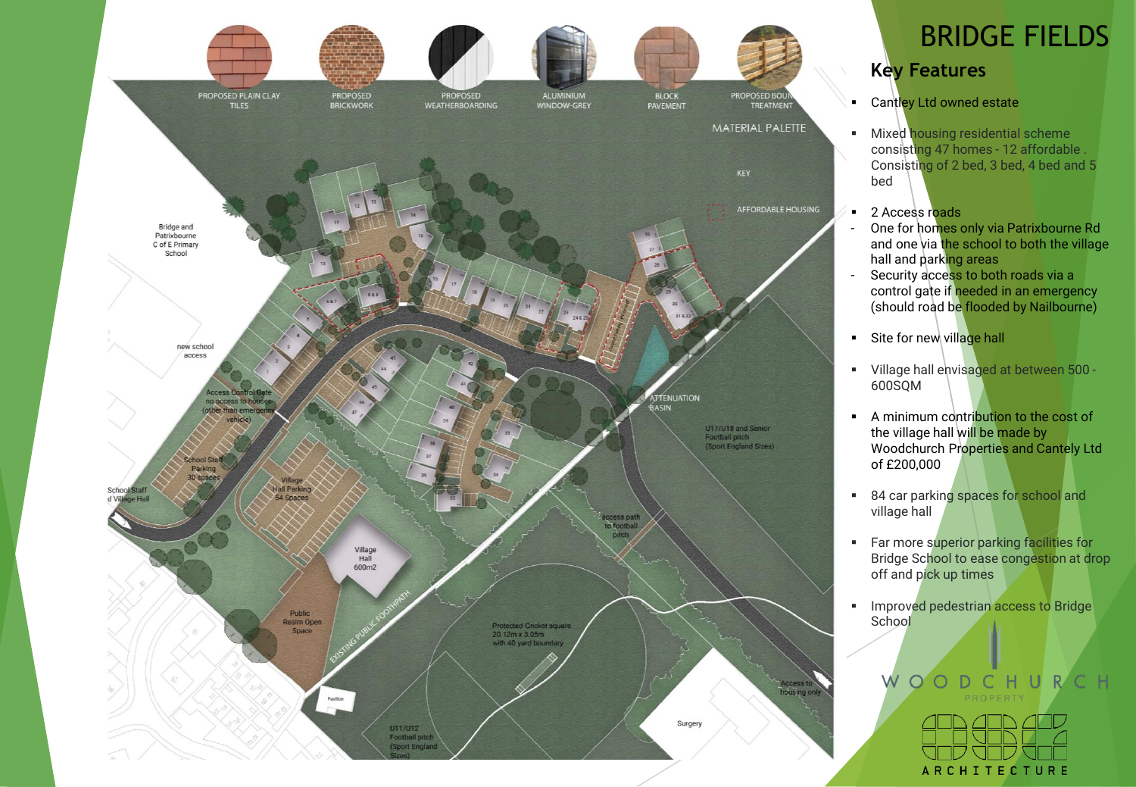

# BRIDGE FIELDS

### **Key Features**

- **E** Cantley Ltd owned estate
- **E** Mixed housing residential scheme consisting 47 homes - 12 affordable . Consisting of 2 bed, 3 bed, 4 bed and 5 bed
- 2 Access roads
	- One for homes only via Patrixbourne Rd and one via the school to both the village hall and parking areas
- Security access to both roads via a control gate if needed in an emergency (should road be flooded by Nailbourne)
- $\blacksquare$  Site for new village hall
- Village hall envisaged at between 500 600SQM
- A minimum contribution to the cost of the village hall will be made by Woodchurch Properties and Cantely Ltd of £200,000
- 84 car parking spaces for school and village hall
- **EXECUTE:** Far more superior parking facilities for Bridge School to ease congestion at drop off and pick up times
- **·** Improved pedestrian access to Bridge **School**